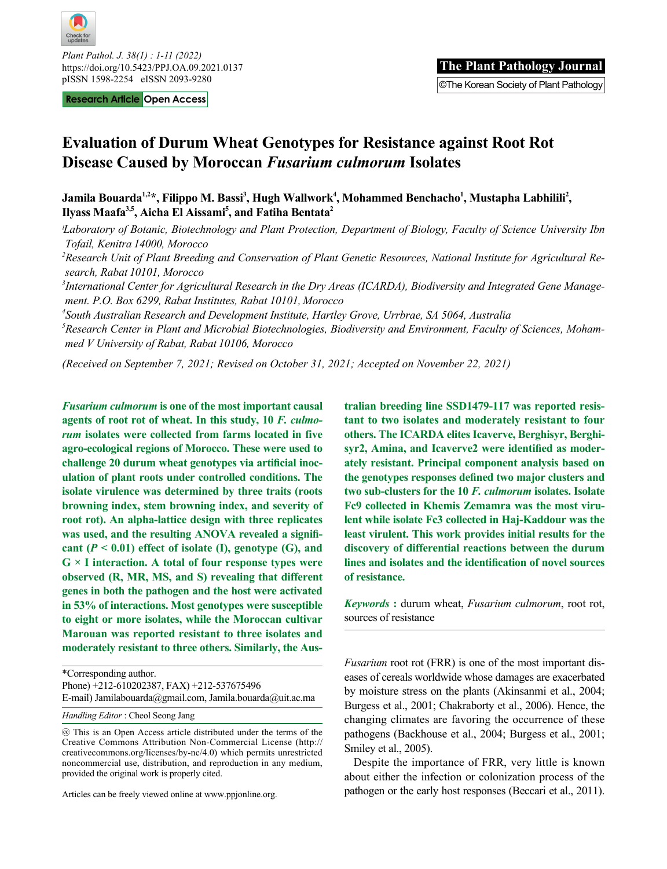

*Plant Pathol. J. 38(1) : 1-11 (2022)* https://doi.org/10.5423/PPJ.OA.09.2021.0137

**Research Article Open Access** 

# **Evaluation of Durum Wheat Genotypes for Resistance against Root Rot Disease Caused by Moroccan** *Fusarium culmorum* **Isolates**

Jamila Bouarda<sup>1,2\*</sup>, Filippo M. Bassi<sup>3</sup>, Hugh Wallwork<sup>4</sup>, Mohammed Benchacho<sup>1</sup>, Mustapha Labhilili<sup>2</sup>, **Ilyass Maafa3,5, Aicha El Aissami5 , and Fatiha Bentata2**

*ˡLaboratory of Botanic, Biotechnology and Plant Protection, Department of Biology, Faculty of Science University Ibn Tofail, Kenitra 14000, Morocco*

*2 Research Unit of Plant Breeding and Conservation of Plant Genetic Resources, National Institute for Agricultural Research, Rabat 10101, Morocco*

*3 International Center for Agricultural Research in the Dry Areas (ICARDA), Biodiversity and Integrated Gene Management. P.O. Box 6299, Rabat Institutes, Rabat 10101, Morocco*

*4 South Australian Research and Development Institute, Hartley Grove, Urrbrae, SA 5064, Australia*

*5 Research Center in Plant and Microbial Biotechnologies, Biodiversity and Environment, Faculty of Sciences, Mohammed V University of Rabat, Rabat 10106, Morocco* 

*(Received on September 7, 2021; Revised on October 31, 2021; Accepted on November 22, 2021)*

*Fusarium culmorum* **is one of the most important causal agents of root rot of wheat. In this study, 10** *F. culmorum* **isolates were collected from farms located in five agro-ecological regions of Morocco. These were used to challenge 20 durum wheat genotypes via artificial inoculation of plant roots under controlled conditions. The isolate virulence was determined by three traits (roots browning index, stem browning index, and severity of root rot). An alpha-lattice design with three replicates was used, and the resulting ANOVA revealed a signifi**cant  $(P < 0.01)$  effect of isolate  $(I)$ , genotype  $(G)$ , and **G × I interaction. A total of four response types were observed (R, MR, MS, and S) revealing that different genes in both the pathogen and the host were activated in 53% of interactions. Most genotypes were susceptible to eight or more isolates, while the Moroccan cultivar Marouan was reported resistant to three isolates and moderately resistant to three others. Similarly, the Aus-**

*Handling Editor* : Cheol Seong Jang

Articles can be freely viewed online at www.ppjonline.org.

**tralian breeding line SSD1479-117 was reported resistant to two isolates and moderately resistant to four others. The ICARDA elites Icaverve, Berghisyr, Berghisyr2, Amina, and Icaverve2 were identified as moderately resistant. Principal component analysis based on the genotypes responses defined two major clusters and two sub-clusters for the 10** *F. culmorum* **isolates. Isolate Fc9 collected in Khemis Zemamra was the most virulent while isolate Fc3 collected in Haj-Kaddour was the least virulent. This work provides initial results for the discovery of differential reactions between the durum lines and isolates and the identification of novel sources of resistance.** 

*Keywords* **:** durum wheat, *Fusarium culmorum*, root rot, sources of resistance

*Fusarium* root rot (FRR) is one of the most important diseases of cereals worldwide whose damages are exacerbated by moisture stress on the plants (Akinsanmi et al., 2004; Burgess et al., 2001; Chakraborty et al., 2006). Hence, the changing climates are favoring the occurrence of these pathogens (Backhouse et al., 2004; Burgess et al., 2001; Smiley et al., 2005).

Despite the importance of FRR, very little is known about either the infection or colonization process of the pathogen or the early host responses (Beccari et al., 2011).

<sup>\*</sup>Corresponding author. Phone) +212-610202387, FAX) +212-537675496 E-mail) Jamilabouarda@gmail.com, Jamila.bouarda@uit.ac.ma

This is an Open Access article distributed under the terms of the Creative Commons Attribution Non-Commercial License (http:// creativecommons.org/licenses/by-nc/4.0) which permits unrestricted noncommercial use, distribution, and reproduction in any medium, provided the original work is properly cited.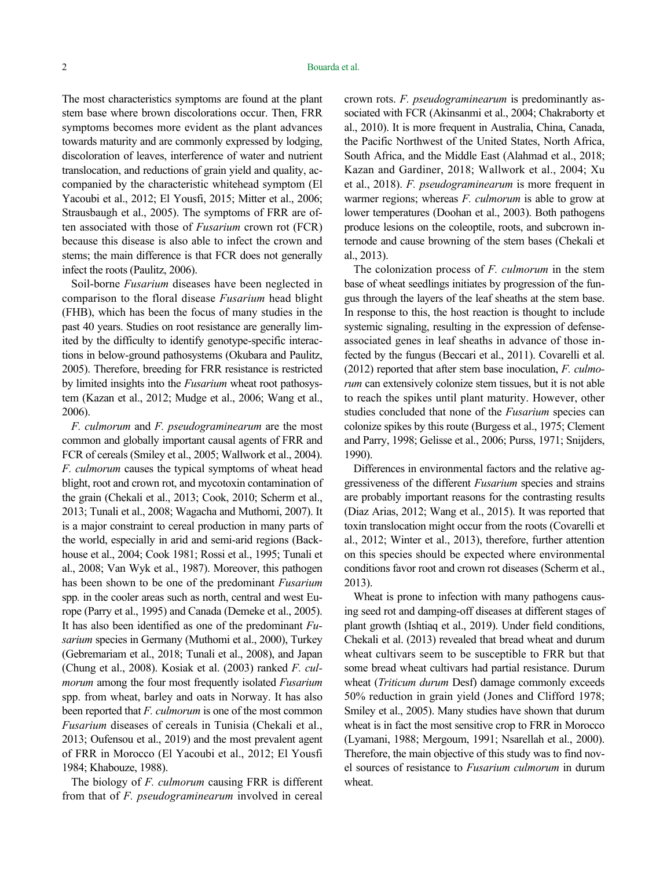The most characteristics symptoms are found at the plant stem base where brown discolorations occur. Then, FRR symptoms becomes more evident as the plant advances towards maturity and are commonly expressed by lodging, discoloration of leaves, interference of water and nutrient translocation, and reductions of grain yield and quality, accompanied by the characteristic whitehead symptom (El Yacoubi et al., 2012; El Yousfi, 2015; Mitter et al., 2006; Strausbaugh et al., 2005). The symptoms of FRR are often associated with those of *Fusarium* crown rot (FCR) because this disease is also able to infect the crown and stems; the main difference is that FCR does not generally infect the roots (Paulitz, 2006).

Soil-borne *Fusarium* diseases have been neglected in comparison to the floral disease *Fusarium* head blight (FHB), which has been the focus of many studies in the past 40 years. Studies on root resistance are generally limited by the difficulty to identify genotype-specific interactions in below-ground pathosystems (Okubara and Paulitz, 2005). Therefore, breeding for FRR resistance is restricted by limited insights into the *Fusarium* wheat root pathosystem (Kazan et al., 2012; Mudge et al., 2006; Wang et al., 2006).

*F. culmorum* and *F. pseudograminearum* are the most common and globally important causal agents of FRR and FCR of cereals (Smiley et al., 2005; Wallwork et al., 2004). *F. culmorum* causes the typical symptoms of wheat head blight, root and crown rot, and mycotoxin contamination of the grain (Chekali et al., 2013; Cook, 2010; Scherm et al., 2013; Tunali et al., 2008; Wagacha and Muthomi, 2007). It is a major constraint to cereal production in many parts of the world, especially in arid and semi-arid regions (Backhouse et al., 2004; Cook 1981; Rossi et al., 1995; Tunali et al., 2008; Van Wyk et al., 1987). Moreover, this pathogen has been shown to be one of the predominant *Fusarium*  spp*.* in the cooler areas such as north, central and west Europe (Parry et al., 1995) and Canada (Demeke et al., 2005). It has also been identified as one of the predominant *Fusarium* species in Germany (Muthomi et al., 2000), Turkey (Gebremariam et al., 2018; Tunali et al., 2008), and Japan (Chung et al., 2008). Kosiak et al. (2003) ranked *F. culmorum* among the four most frequently isolated *Fusarium*  spp. from wheat, barley and oats in Norway. It has also been reported that *F. culmorum* is one of the most common *Fusarium* diseases of cereals in Tunisia (Chekali et al., 2013; Oufensou et al., 2019) and the most prevalent agent of FRR in Morocco (El Yacoubi et al., 2012; El Yousfi 1984; Khabouze, 1988).

The biology of *F. culmorum* causing FRR is different from that of *F. pseudograminearum* involved in cereal

crown rots. *F. pseudograminearum* is predominantly associated with FCR (Akinsanmi et al., 2004; Chakraborty et al., 2010). It is more frequent in Australia, China, Canada, the Pacific Northwest of the United States, North Africa, South Africa, and the Middle East (Alahmad et al., 2018; Kazan and Gardiner, 2018; Wallwork et al., 2004; Xu et al., 2018). *F. pseudograminearum* is more frequent in warmer regions; whereas *F. culmorum* is able to grow at lower temperatures (Doohan et al., 2003). Both pathogens produce lesions on the coleoptile, roots, and subcrown internode and cause browning of the stem bases (Chekali et al., 2013).

The colonization process of *F. culmorum* in the stem base of wheat seedlings initiates by progression of the fungus through the layers of the leaf sheaths at the stem base. In response to this, the host reaction is thought to include systemic signaling, resulting in the expression of defenseassociated genes in leaf sheaths in advance of those infected by the fungus (Beccari et al., 2011). Covarelli et al. (2012) reported that after stem base inoculation, *F. culmorum* can extensively colonize stem tissues, but it is not able to reach the spikes until plant maturity. However, other studies concluded that none of the *Fusarium* species can colonize spikes by this route (Burgess et al., 1975; Clement and Parry, 1998; Gelisse et al., 2006; Purss, 1971; Snijders, 1990).

Differences in environmental factors and the relative aggressiveness of the different *Fusarium* species and strains are probably important reasons for the contrasting results (Diaz Arias, 2012; Wang et al., 2015). It was reported that toxin translocation might occur from the roots (Covarelli et al., 2012; Winter et al., 2013), therefore, further attention on this species should be expected where environmental conditions favor root and crown rot diseases (Scherm et al., 2013).

Wheat is prone to infection with many pathogens causing seed rot and damping-off diseases at different stages of plant growth (Ishtiaq et al., 2019). Under field conditions, Chekali et al. (2013) revealed that bread wheat and durum wheat cultivars seem to be susceptible to FRR but that some bread wheat cultivars had partial resistance. Durum wheat (*Triticum durum* Desf) damage commonly exceeds 50% reduction in grain yield (Jones and Clifford 1978; Smiley et al., 2005). Many studies have shown that durum wheat is in fact the most sensitive crop to FRR in Morocco (Lyamani, 1988; Mergoum, 1991; Nsarellah et al., 2000). Therefore, the main objective of this study was to find novel sources of resistance to *Fusarium culmorum* in durum wheat.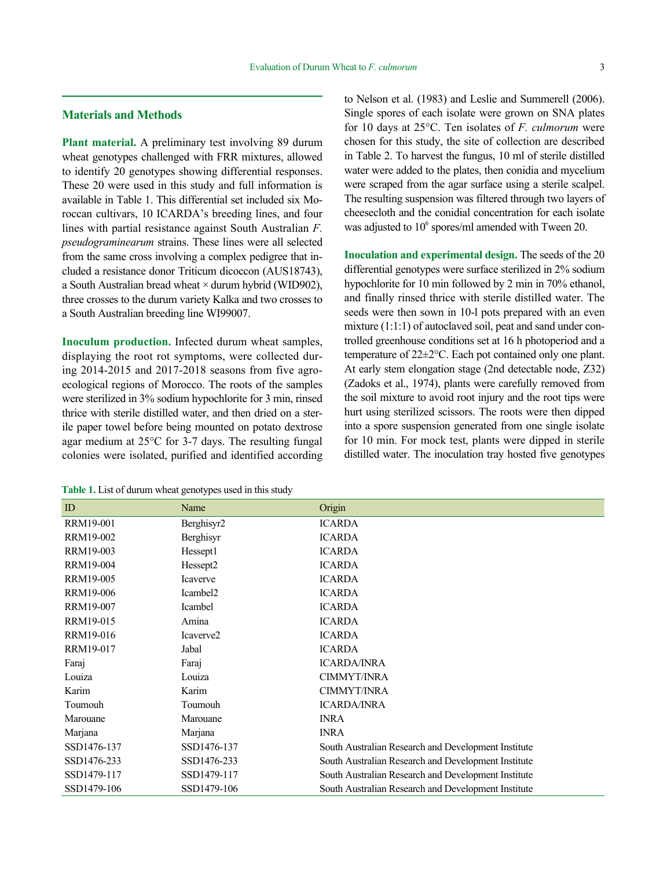### **Materials and Methods**

**Plant material.** A preliminary test involving 89 durum wheat genotypes challenged with FRR mixtures, allowed to identify 20 genotypes showing differential responses. These 20 were used in this study and full information is available in Table 1. This differential set included six Moroccan cultivars, 10 ICARDA's breeding lines, and four lines with partial resistance against South Australian *F. pseudograminearum* strains. These lines were all selected from the same cross involving a complex pedigree that included a resistance donor Triticum dicoccon (AUS18743), a South Australian bread wheat  $\times$  durum hybrid (WID902), three crosses to the durum variety Kalka and two crosses to a South Australian breeding line WI99007.

**Inoculum production.** Infected durum wheat samples, displaying the root rot symptoms, were collected during 2014-2015 and 2017-2018 seasons from five agroecological regions of Morocco. The roots of the samples were sterilized in 3% sodium hypochlorite for 3 min, rinsed thrice with sterile distilled water, and then dried on a sterile paper towel before being mounted on potato dextrose agar medium at 25°C for 3-7 days. The resulting fungal colonies were isolated, purified and identified according

**Table 1.** List of durum wheat genotypes used in this study

to Nelson et al. (1983) and Leslie and Summerell (2006). Single spores of each isolate were grown on SNA plates for 10 days at 25°C. Ten isolates of *F. culmorum* were chosen for this study, the site of collection are described in Table 2. To harvest the fungus, 10 ml of sterile distilled water were added to the plates, then conidia and mycelium were scraped from the agar surface using a sterile scalpel. The resulting suspension was filtered through two layers of cheesecloth and the conidial concentration for each isolate was adjusted to  $10^6$  spores/ml amended with Tween 20.

**Inoculation and experimental design.** The seeds of the 20 differential genotypes were surface sterilized in 2% sodium hypochlorite for 10 min followed by 2 min in 70% ethanol, and finally rinsed thrice with sterile distilled water. The seeds were then sown in 10-l pots prepared with an even mixture (1:1:1) of autoclaved soil, peat and sand under controlled greenhouse conditions set at 16 h photoperiod and a temperature of 22±2°C. Each pot contained only one plant. At early stem elongation stage (2nd detectable node, Z32) (Zadoks et al., 1974), plants were carefully removed from the soil mixture to avoid root injury and the root tips were hurt using sterilized scissors. The roots were then dipped into a spore suspension generated from one single isolate for 10 min. For mock test, plants were dipped in sterile distilled water. The inoculation tray hosted five genotypes

| ID               | Name                  | Origin                                              |
|------------------|-----------------------|-----------------------------------------------------|
| <b>RRM19-001</b> | Berghisyr2            | <b>ICARDA</b>                                       |
| RRM19-002        | Berghisyr             | <b>ICARDA</b>                                       |
| RRM19-003        | Hessept1              | <b>ICARDA</b>                                       |
| RRM19-004        | Hessept <sub>2</sub>  | <b>ICARDA</b>                                       |
| RRM19-005        | Icaverve              | <b>ICARDA</b>                                       |
| <b>RRM19-006</b> | Icambel <sub>2</sub>  | <b>ICARDA</b>                                       |
| RRM19-007        | Icambel               | <b>ICARDA</b>                                       |
| RRM19-015        | Amina                 | <b>ICARDA</b>                                       |
| RRM19-016        | Icaverve <sub>2</sub> | <b>ICARDA</b>                                       |
| RRM19-017        | Jabal                 | <b>ICARDA</b>                                       |
| Faraj            | Faraj                 | <b>ICARDA/INRA</b>                                  |
| Louiza           | Louiza                | CIMMYT/INRA                                         |
| Karim            | Karim                 | <b>CIMMYT/INRA</b>                                  |
| Toumouh          | Toumouh               | <b>ICARDA/INRA</b>                                  |
| Marouane         | Marouane              | <b>INRA</b>                                         |
| Marjana          | Marjana               | <b>INRA</b>                                         |
| SSD1476-137      | SSD1476-137           | South Australian Research and Development Institute |
| SSD1476-233      | SSD1476-233           | South Australian Research and Development Institute |
| SSD1479-117      | SSD1479-117           | South Australian Research and Development Institute |
| SSD1479-106      | SSD1479-106           | South Australian Research and Development Institute |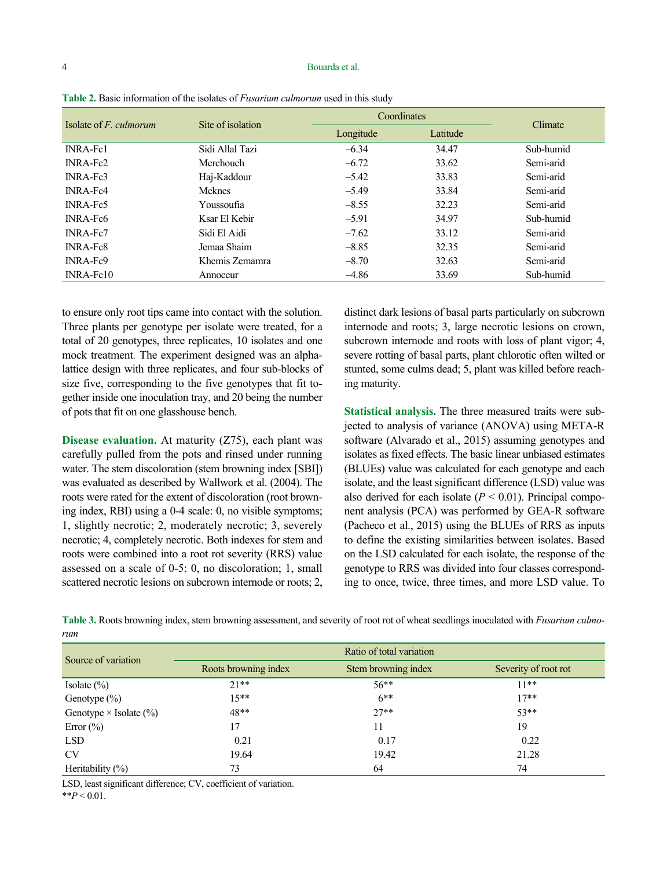#### 4 Bouarda et al.

| Isolate of $F$ , culmorum | Site of isolation |           | Coordinates |           |  |  |  |  |
|---------------------------|-------------------|-----------|-------------|-----------|--|--|--|--|
|                           |                   | Longitude | Latitude    | Climate   |  |  |  |  |
| <b>INRA-Fc1</b>           | Sidi Allal Tazi   | $-6.34$   | 34.47       | Sub-humid |  |  |  |  |
| <b>INRA-Fc2</b>           | Merchouch         | $-6.72$   | 33.62       | Semi-arid |  |  |  |  |
| INRA-Fc3                  | Haj-Kaddour       | $-5.42$   | 33.83       | Semi-arid |  |  |  |  |
| <b>INRA-Fc4</b>           | <b>Meknes</b>     | $-5.49$   | 33.84       | Semi-arid |  |  |  |  |
| <b>INRA-Fc5</b>           | Youssoufia        | $-8.55$   | 32.23       | Semi-arid |  |  |  |  |
| <b>INRA-Fc6</b>           | Ksar El Kebir     | $-5.91$   | 34.97       | Sub-humid |  |  |  |  |
| <b>INRA-Fc7</b>           | Sidi El Aidi      | $-7.62$   | 33.12       | Semi-arid |  |  |  |  |
| <b>INRA-Fc8</b>           | Jemaa Shaim       | $-8.85$   | 32.35       | Semi-arid |  |  |  |  |
| INRA-Fc9                  | Khemis Zemamra    | $-8.70$   | 32.63       | Semi-arid |  |  |  |  |
| $INRA-Fe10$               | Annoceur          | $-4.86$   | 33.69       | Sub-humid |  |  |  |  |

**Table 2.** Basic information of the isolates of *Fusarium culmorum* used in this study

to ensure only root tips came into contact with the solution. Three plants per genotype per isolate were treated, for a total of 20 genotypes, three replicates, 10 isolates and one mock treatment*.* The experiment designed was an alphalattice design with three replicates, and four sub-blocks of size five, corresponding to the five genotypes that fit together inside one inoculation tray, and 20 being the number of pots that fit on one glasshouse bench.

**Disease evaluation.** At maturity (Z75), each plant was carefully pulled from the pots and rinsed under running water. The stem discoloration (stem browning index [SBI]) was evaluated as described by Wallwork et al. (2004). The roots were rated for the extent of discoloration (root browning index, RBI) using a 0-4 scale: 0, no visible symptoms; 1, slightly necrotic; 2, moderately necrotic; 3, severely necrotic; 4, completely necrotic. Both indexes for stem and roots were combined into a root rot severity (RRS) value assessed on a scale of 0-5: 0, no discoloration; 1, small scattered necrotic lesions on subcrown internode or roots; 2,

distinct dark lesions of basal parts particularly on subcrown internode and roots; 3, large necrotic lesions on crown, subcrown internode and roots with loss of plant vigor; 4, severe rotting of basal parts, plant chlorotic often wilted or stunted, some culms dead; 5, plant was killed before reaching maturity.

**Statistical analysis.** The three measured traits were subjected to analysis of variance (ANOVA) using META-R software (Alvarado et al., 2015) assuming genotypes and isolates as fixed effects. The basic linear unbiased estimates (BLUEs) value was calculated for each genotype and each isolate, and the least significant difference (LSD) value was also derived for each isolate  $(P < 0.01)$ . Principal component analysis (PCA) was performed by GEA-R software (Pacheco et al., 2015) using the BLUEs of RRS as inputs to define the existing similarities between isolates. Based on the LSD calculated for each isolate, the response of the genotype to RRS was divided into four classes corresponding to once, twice, three times, and more LSD value. To

| rum | Table 3. Roots browning index, stem browning assessment, and severity of root rot of wheat seedlings inoculated with <i>Fusarium culmo</i> - |
|-----|----------------------------------------------------------------------------------------------------------------------------------------------|
|     |                                                                                                                                              |

| Source of variation           | Ratio of total variation |                     |                      |  |  |  |  |
|-------------------------------|--------------------------|---------------------|----------------------|--|--|--|--|
|                               | Roots browning index     | Stem browning index | Severity of root rot |  |  |  |  |
| Isolate $(\%)$                | $21**$                   | $56**$              | $11**$               |  |  |  |  |
| Genotype $(\%)$               | $15***$                  | $6***$              | $17**$               |  |  |  |  |
| Genotype $\times$ Isolate (%) | 48**                     | $27**$              | $53**$               |  |  |  |  |
| Error $(\% )$                 | 17                       | 11                  | 19                   |  |  |  |  |
| <b>LSD</b>                    | 0.21                     | 0.17                | 0.22                 |  |  |  |  |
| <b>CV</b>                     | 19.64                    | 19.42               | 21.28                |  |  |  |  |
| Heritability $(\%)$           | 73                       | 64                  | 74                   |  |  |  |  |

LSD, least significant difference; CV, coefficient of variation.

\*\**P* < 0.01.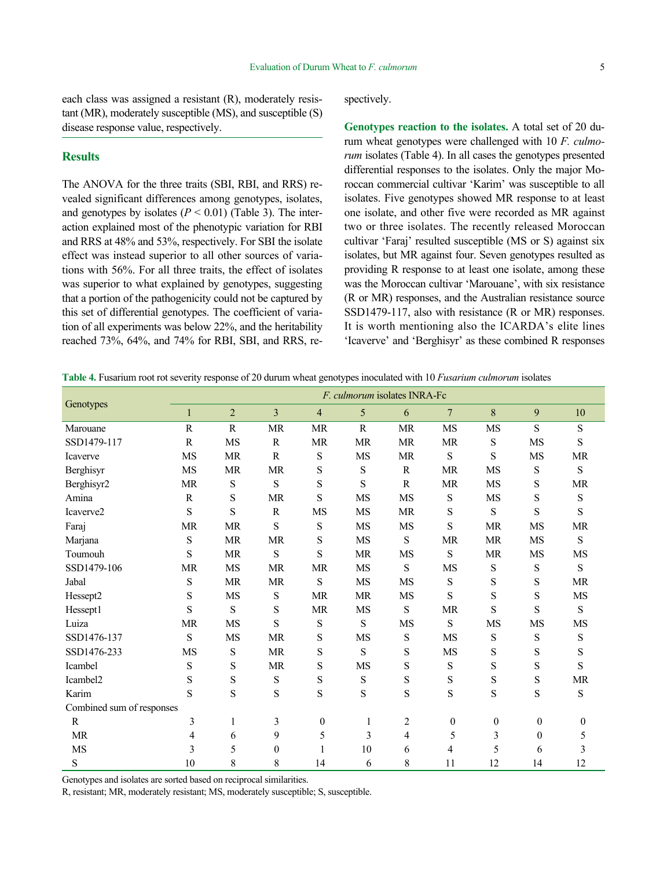each class was assigned a resistant (R), moderately resistant (MR), moderately susceptible (MS), and susceptible (S) disease response value, respectively.

## **Results**

The ANOVA for the three traits (SBI, RBI, and RRS) revealed significant differences among genotypes, isolates, and genotypes by isolates  $(P < 0.01)$  (Table 3). The interaction explained most of the phenotypic variation for RBI and RRS at 48% and 53%, respectively. For SBI the isolate effect was instead superior to all other sources of variations with 56%. For all three traits, the effect of isolates was superior to what explained by genotypes, suggesting that a portion of the pathogenicity could not be captured by this set of differential genotypes. The coefficient of variation of all experiments was below 22%, and the heritability reached 73%, 64%, and 74% for RBI, SBI, and RRS, respectively.

**Genotypes reaction to the isolates.** A total set of 20 durum wheat genotypes were challenged with 10 *F. culmorum* isolates (Table 4). In all cases the genotypes presented differential responses to the isolates. Only the major Moroccan commercial cultivar 'Karim' was susceptible to all isolates. Five genotypes showed MR response to at least one isolate, and other five were recorded as MR against two or three isolates. The recently released Moroccan cultivar 'Faraj' resulted susceptible (MS or S) against six isolates, but MR against four. Seven genotypes resulted as providing R response to at least one isolate, among these was the Moroccan cultivar 'Marouane', with six resistance (R or MR) responses, and the Australian resistance source SSD1479-117, also with resistance (R or MR) responses. It is worth mentioning also the ICARDA's elite lines 'Icaverve' and 'Berghisyr' as these combined R responses

|  |  |  |  |  | Table 4. Fusarium root rot severity response of 20 durum wheat genotypes inoculated with 10 Fusarium culmorum isolates |
|--|--|--|--|--|------------------------------------------------------------------------------------------------------------------------|
|--|--|--|--|--|------------------------------------------------------------------------------------------------------------------------|

|                           | F. culmorum isolates INRA-Fc |                |              |                  |              |                |                  |                  |                  |                  |
|---------------------------|------------------------------|----------------|--------------|------------------|--------------|----------------|------------------|------------------|------------------|------------------|
| Genotypes                 | 1                            | $\overline{2}$ | 3            | $\overline{4}$   | 5            | 6              | $\overline{7}$   | 8                | 9                | 10               |
| Marouane                  | $\mathbb{R}$                 | $\mathbb{R}$   | <b>MR</b>    | <b>MR</b>        | $\mathbb{R}$ | <b>MR</b>      | <b>MS</b>        | <b>MS</b>        | S                | S                |
| SSD1479-117               | $\mathbf R$                  | <b>MS</b>      | ${\bf R}$    | <b>MR</b>        | <b>MR</b>    | <b>MR</b>      | <b>MR</b>        | S                | MS               | S                |
| Icaverve                  | <b>MS</b>                    | <b>MR</b>      | $\mathbb{R}$ | S                | <b>MS</b>    | <b>MR</b>      | S                | S                | <b>MS</b>        | <b>MR</b>        |
| Berghisyr                 | <b>MS</b>                    | <b>MR</b>      | <b>MR</b>    | S                | S            | $\mathbb{R}$   | <b>MR</b>        | MS               | ${\bf S}$        | S                |
| Berghisyr2                | <b>MR</b>                    | $\mathbf S$    | S            | S                | S            | $\mathbb{R}$   | <b>MR</b>        | <b>MS</b>        | S                | <b>MR</b>        |
| Amina                     | R                            | S              | MR           | S                | MS           | <b>MS</b>      | S                | MS               | S                | S                |
| Icaverve2                 | $\mathbf S$                  | S              | R            | MS               | MS           | <b>MR</b>      | $\mathbf S$      | S                | S                | S                |
| Faraj                     | <b>MR</b>                    | <b>MR</b>      | S            | ${\bf S}$        | MS           | <b>MS</b>      | S                | <b>MR</b>        | <b>MS</b>        | <b>MR</b>        |
| Marjana                   | S                            | <b>MR</b>      | <b>MR</b>    | S                | MS           | S              | <b>MR</b>        | <b>MR</b>        | <b>MS</b>        | S                |
| Toumouh                   | S                            | <b>MR</b>      | S            | S                | <b>MR</b>    | MS             | S                | <b>MR</b>        | <b>MS</b>        | <b>MS</b>        |
| SSD1479-106               | <b>MR</b>                    | <b>MS</b>      | <b>MR</b>    | <b>MR</b>        | <b>MS</b>    | S              | MS               | S                | $\mathbf S$      | S                |
| Jabal                     | S                            | <b>MR</b>      | <b>MR</b>    | ${\bf S}$        | MS           | MS             | ${\bf S}$        | ${\bf S}$        | S                | <b>MR</b>        |
| Hessept2                  | S                            | <b>MS</b>      | S            | <b>MR</b>        | <b>MR</b>    | <b>MS</b>      | S                | S                | S                | <b>MS</b>        |
| Hessept1                  | S                            | S              | S            | <b>MR</b>        | MS           | S              | <b>MR</b>        | S                | S                | ${\bf S}$        |
| Luiza                     | <b>MR</b>                    | <b>MS</b>      | S            | ${\bf S}$        | S            | MS             | S                | MS               | MS               | MS               |
| SSD1476-137               | S                            | <b>MS</b>      | <b>MR</b>    | S                | <b>MS</b>    | ${\bf S}$      | <b>MS</b>        | ${\bf S}$        | ${\bf S}$        | ${\bf S}$        |
| SSD1476-233               | MS                           | S              | <b>MR</b>    | S                | S            | S              | MS               | S                | S                | ${\bf S}$        |
| Icambel                   | S                            | S              | <b>MR</b>    | S                | <b>MS</b>    | $\mathbf S$    | $\mathbf S$      | $\mathbf S$      | S                | S                |
| Icambel2                  | S                            | S              | $\mathbf S$  | ${\bf S}$        | ${\bf S}$    | ${\bf S}$      | ${\bf S}$        | ${\bf S}$        | ${\bf S}$        | <b>MR</b>        |
| Karim                     | S                            | S              | S            | $\mathbf S$      | $\mathbf S$  | $\mathbf S$    | ${\bf S}$        | ${\bf S}$        | ${\bf S}$        | ${\bf S}$        |
| Combined sum of responses |                              |                |              |                  |              |                |                  |                  |                  |                  |
| $\mathbb{R}$              | 3                            | 1              | 3            | $\boldsymbol{0}$ | 1            | $\overline{c}$ | $\boldsymbol{0}$ | $\boldsymbol{0}$ | $\boldsymbol{0}$ | $\boldsymbol{0}$ |
| <b>MR</b>                 | 4                            | 6              | 9            | 5                | 3            | $\overline{4}$ | 5                | 3                | $\theta$         | 5                |
| MS                        | 3                            | 5              | $\theta$     |                  | 10           | 6              | 4                | 5                | 6                | 3                |
| S                         | 10                           | 8              | 8            | 14               | 6            | 8              | 11               | 12               | 14               | 12               |

Genotypes and isolates are sorted based on reciprocal similarities.

R, resistant; MR, moderately resistant; MS, moderately susceptible; S, susceptible.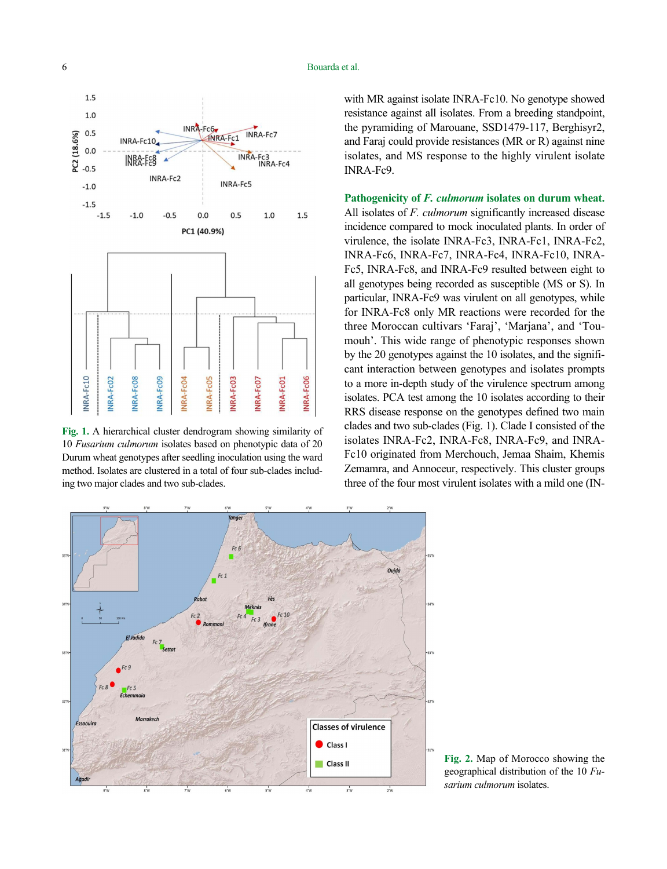## 6 Bouarda et al.



**Fig. 1.** A hierarchical cluster dendrogram showing similarity of 10 *Fusarium culmorum* isolates based on phenotypic data of 20 Durum wheat genotypes after seedling inoculation using the ward method. Isolates are clustered in a total of four sub-clades including two major clades and two sub-clades.

with MR against isolate INRA-Fc10. No genotype showed resistance against all isolates. From a breeding standpoint, the pyramiding of Marouane, SSD1479-117, Berghisyr2, and Faraj could provide resistances (MR or R) against nine isolates, and MS response to the highly virulent isolate INRA-Fc9.

**Pathogenicity of** *F. culmorum* **isolates on durum wheat.**  All isolates of *F. culmorum* significantly increased disease incidence compared to mock inoculated plants. In order of virulence, the isolate INRA-Fc3, INRA-Fc1, INRA-Fc2, INRA-Fc6, INRA-Fc7, INRA-Fc4, INRA-Fc10, INRA-Fc5, INRA-Fc8, and INRA-Fc9 resulted between eight to all genotypes being recorded as susceptible (MS or S). In particular, INRA-Fc9 was virulent on all genotypes, while for INRA-Fc8 only MR reactions were recorded for the three Moroccan cultivars 'Faraj', 'Marjana', and 'Toumouh'. This wide range of phenotypic responses shown by the 20 genotypes against the 10 isolates, and the significant interaction between genotypes and isolates prompts to a more in-depth study of the virulence spectrum among isolates. PCA test among the 10 isolates according to their RRS disease response on the genotypes defined two main clades and two sub-clades (Fig. 1). Clade I consisted of the isolates INRA-Fc2, INRA-Fc8, INRA-Fc9, and INRA-Fc10 originated from Merchouch, Jemaa Shaim, Khemis Zemamra, and Annoceur, respectively. This cluster groups three of the four most virulent isolates with a mild one (IN-



**Fig. 2.** Map of Morocco showing the geographical distribution of the 10 *Fusarium culmorum* isolates.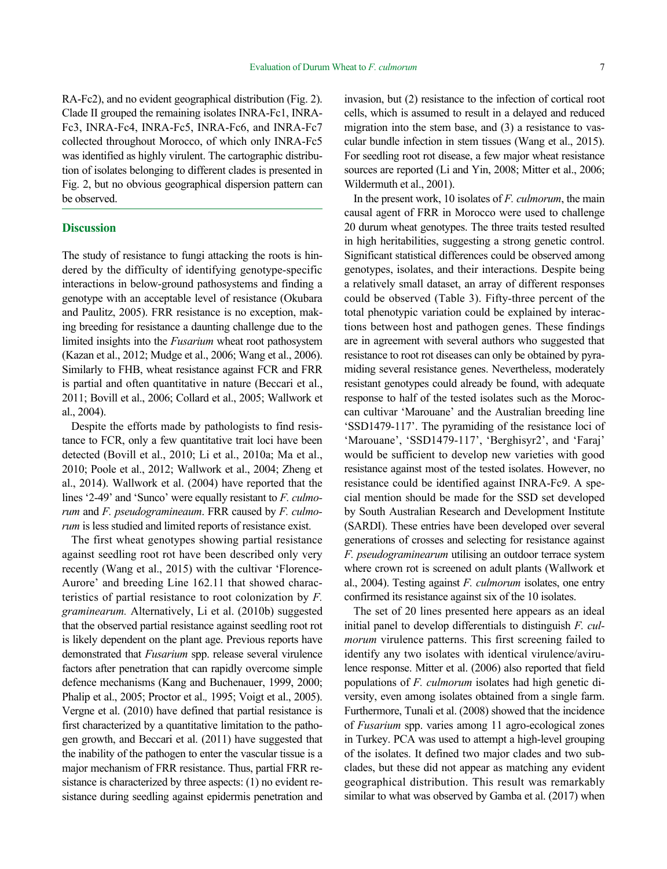RA-Fc2), and no evident geographical distribution (Fig. 2). Clade II grouped the remaining isolates INRA-Fc1, INRA-Fc3, INRA-Fc4, INRA-Fc5, INRA-Fc6, and INRA-Fc7 collected throughout Morocco, of which only INRA-Fc5 was identified as highly virulent. The cartographic distribution of isolates belonging to different clades is presented in Fig. 2, but no obvious geographical dispersion pattern can be observed.

### **Discussion**

The study of resistance to fungi attacking the roots is hindered by the difficulty of identifying genotype-specific interactions in below-ground pathosystems and finding a genotype with an acceptable level of resistance (Okubara and Paulitz, 2005). FRR resistance is no exception, making breeding for resistance a daunting challenge due to the limited insights into the *Fusarium* wheat root pathosystem (Kazan et al., 2012; Mudge et al., 2006; Wang et al., 2006). Similarly to FHB, wheat resistance against FCR and FRR is partial and often quantitative in nature (Beccari et al., 2011; Bovill et al., 2006; Collard et al., 2005; Wallwork et al., 2004).

Despite the efforts made by pathologists to find resistance to FCR, only a few quantitative trait loci have been detected (Bovill et al., 2010; Li et al., 2010a; Ma et al., 2010; Poole et al., 2012; Wallwork et al., 2004; Zheng et al., 2014). Wallwork et al. (2004) have reported that the lines '2-49' and 'Sunco' were equally resistant to *F. culmorum* and *F. pseudogramineaum*. FRR caused by *F. culmorum* is less studied and limited reports of resistance exist.

The first wheat genotypes showing partial resistance against seedling root rot have been described only very recently (Wang et al., 2015) with the cultivar 'Florence-Aurore' and breeding Line 162.11 that showed characteristics of partial resistance to root colonization by *F. graminearum.* Alternatively, Li et al. (2010b) suggested that the observed partial resistance against seedling root rot is likely dependent on the plant age. Previous reports have demonstrated that *Fusarium* spp. release several virulence factors after penetration that can rapidly overcome simple defence mechanisms (Kang and Buchenauer, 1999, 2000; Phalip et al., 2005; Proctor et al.*,* 1995; Voigt et al., 2005). Vergne et al. (2010) have defined that partial resistance is first characterized by a quantitative limitation to the pathogen growth, and Beccari et al. (2011) have suggested that the inability of the pathogen to enter the vascular tissue is a major mechanism of FRR resistance. Thus, partial FRR resistance is characterized by three aspects: (1) no evident resistance during seedling against epidermis penetration and

invasion, but (2) resistance to the infection of cortical root cells, which is assumed to result in a delayed and reduced migration into the stem base, and (3) a resistance to vascular bundle infection in stem tissues (Wang et al., 2015). For seedling root rot disease, a few major wheat resistance sources are reported (Li and Yin, 2008; Mitter et al., 2006; Wildermuth et al., 2001).

In the present work, 10 isolates of *F. culmorum*, the main causal agent of FRR in Morocco were used to challenge 20 durum wheat genotypes. The three traits tested resulted in high heritabilities, suggesting a strong genetic control. Significant statistical differences could be observed among genotypes, isolates, and their interactions. Despite being a relatively small dataset, an array of different responses could be observed (Table 3). Fifty-three percent of the total phenotypic variation could be explained by interactions between host and pathogen genes. These findings are in agreement with several authors who suggested that resistance to root rot diseases can only be obtained by pyramiding several resistance genes. Nevertheless, moderately resistant genotypes could already be found, with adequate response to half of the tested isolates such as the Moroccan cultivar 'Marouane' and the Australian breeding line 'SSD1479-117'. The pyramiding of the resistance loci of 'Marouane', 'SSD1479-117', 'Berghisyr2', and 'Faraj' would be sufficient to develop new varieties with good resistance against most of the tested isolates. However, no resistance could be identified against INRA-Fc9. A special mention should be made for the SSD set developed by South Australian Research and Development Institute (SARDI). These entries have been developed over several generations of crosses and selecting for resistance against *F. pseudograminearum* utilising an outdoor terrace system where crown rot is screened on adult plants (Wallwork et al., 2004). Testing against *F. culmorum* isolates, one entry confirmed its resistance against six of the 10 isolates.

The set of 20 lines presented here appears as an ideal initial panel to develop differentials to distinguish *F. culmorum* virulence patterns. This first screening failed to identify any two isolates with identical virulence/avirulence response. Mitter et al. (2006) also reported that field populations of *F. culmorum* isolates had high genetic diversity, even among isolates obtained from a single farm. Furthermore, Tunali et al. (2008) showed that the incidence of *Fusarium* spp. varies among 11 agro-ecological zones in Turkey. PCA was used to attempt a high-level grouping of the isolates. It defined two major clades and two subclades, but these did not appear as matching any evident geographical distribution. This result was remarkably similar to what was observed by Gamba et al. (2017) when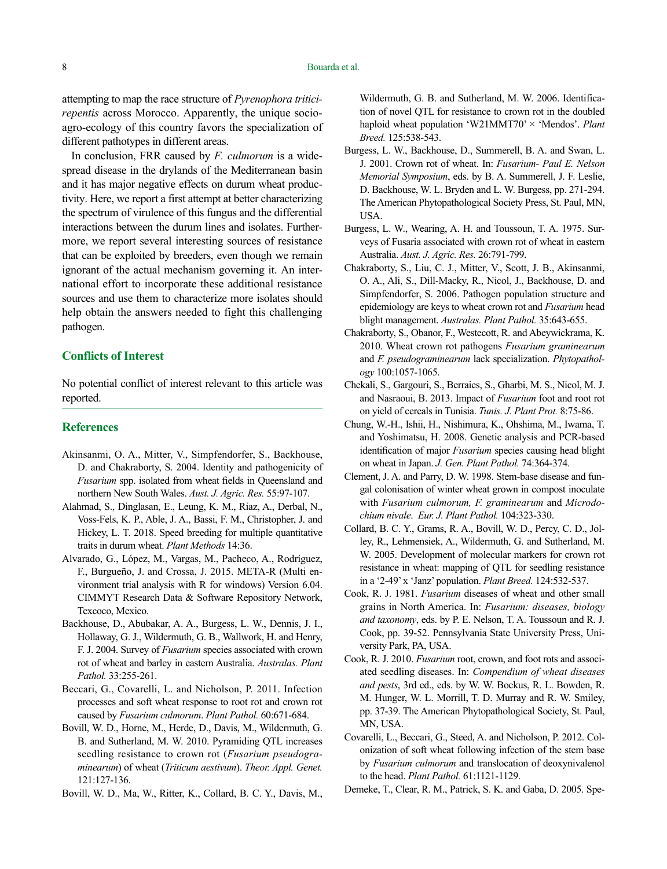attempting to map the race structure of *Pyrenophora triticirepentis* across Morocco. Apparently, the unique socioagro-ecology of this country favors the specialization of different pathotypes in different areas.

In conclusion, FRR caused by *F. culmorum* is a widespread disease in the drylands of the Mediterranean basin and it has major negative effects on durum wheat productivity. Here, we report a first attempt at better characterizing the spectrum of virulence of this fungus and the differential interactions between the durum lines and isolates. Furthermore, we report several interesting sources of resistance that can be exploited by breeders, even though we remain ignorant of the actual mechanism governing it. An international effort to incorporate these additional resistance sources and use them to characterize more isolates should help obtain the answers needed to fight this challenging pathogen.

#### **Conflicts of Interest**

No potential conflict of interest relevant to this article was reported.

#### **References**

- Akinsanmi, O. A., Mitter, V., Simpfendorfer, S., Backhouse, D. and Chakraborty, S. 2004. Identity and pathogenicity of *Fusarium* spp. isolated from wheat fields in Queensland and northern New South Wales. *Aust. J. Agric. Res.* 55:97-107.
- Alahmad, S., Dinglasan, E., Leung, K. M., Riaz, A., Derbal, N., Voss-Fels, K. P., Able, J. A., Bassi, F. M., Christopher, J. and Hickey, L. T. 2018. Speed breeding for multiple quantitative traits in durum wheat. *Plant Methods* 14:36.
- Alvarado, G., López, M., Vargas, M., Pacheco, A., Rodríguez, F., Burgueño, J. and Crossa, J. 2015. META-R (Multi environment trial analysis with R for windows) Version 6.04. CIMMYT Research Data & Software Repository Network, Texcoco, Mexico.
- Backhouse, D., Abubakar, A. A., Burgess, L. W., Dennis, J. I., Hollaway, G. J., Wildermuth, G. B., Wallwork, H. and Henry, F. J. 2004. Survey of *Fusarium* species associated with crown rot of wheat and barley in eastern Australia. *Australas. Plant Pathol.* 33:255-261.
- Beccari, G., Covarelli, L. and Nicholson, P. 2011. Infection processes and soft wheat response to root rot and crown rot caused by *Fusarium culmorum*. *Plant Pathol.* 60:671-684.
- Bovill, W. D., Horne, M., Herde, D., Davis, M., Wildermuth, G. B. and Sutherland, M. W. 2010. Pyramiding QTL increases seedling resistance to crown rot (*Fusarium pseudograminearum*) of wheat (*Triticum aestivum*). *Theor. Appl. Genet.*  121:127-136.
- Bovill, W. D., Ma, W., Ritter, K., Collard, B. C. Y., Davis, M.,

Wildermuth, G. B. and Sutherland, M. W. 2006. Identification of novel QTL for resistance to crown rot in the doubled haploid wheat population 'W21MMT70' × 'Mendos'. *Plant Breed.* 125:538-543.

- Burgess, L. W., Backhouse, D., Summerell, B. A. and Swan, L. J. 2001. Crown rot of wheat. In: *Fusarium- Paul E. Nelson Memorial Symposium*, eds. by B. A. Summerell, J. F. Leslie, D. Backhouse, W. L. Bryden and L. W. Burgess, pp. 271-294. The American Phytopathological Society Press, St. Paul, MN, USA.
- Burgess, L. W., Wearing, A. H. and Toussoun, T. A. 1975. Surveys of Fusaria associated with crown rot of wheat in eastern Australia. *Aust. J. Agric. Res.* 26:791-799.
- Chakraborty, S., Liu, C. J., Mitter, V., Scott, J. B., Akinsanmi, O. A., Ali, S., Dill-Macky, R., Nicol, J., Backhouse, D. and Simpfendorfer, S. 2006. Pathogen population structure and epidemiology are keys to wheat crown rot and *Fusarium* head blight management. *Australas. Plant Pathol.* 35:643-655.
- Chakraborty, S., Obanor, F., Westecott, R. and Abeywickrama, K. 2010. Wheat crown rot pathogens *Fusarium graminearum* and *F. pseudograminearum* lack specialization. *Phytopathology* 100:1057-1065.
- Chekali, S., Gargouri, S., Berraies, S., Gharbi, M. S., Nicol, M. J. and Nasraoui, B. 2013. Impact of *Fusarium* foot and root rot on yield of cereals in Tunisia. *Tunis. J. Plant Prot.* 8:75-86.
- Chung, W.-H., Ishii, H., Nishimura, K., Ohshima, M., Iwama, T. and Yoshimatsu, H. 2008. Genetic analysis and PCR-based identification of major *Fusarium* species causing head blight on wheat in Japan. *J. Gen. Plant Pathol.* 74:364-374.
- Clement, J. A. and Parry, D. W. 1998. Stem-base disease and fungal colonisation of winter wheat grown in compost inoculate with *Fusarium culmorum, F. graminearum* and *Microdochium nivale*. *Eur. J. Plant Pathol.* 104:323-330.
- Collard, B. C. Y., Grams, R. A., Bovill, W. D., Percy, C. D., Jolley, R., Lehmensiek, A., Wildermuth, G. and Sutherland, M. W. 2005. Development of molecular markers for crown rot resistance in wheat: mapping of QTL for seedling resistance in a '2-49' x 'Janz' population. *Plant Breed.* 124:532-537.
- Cook, R. J. 1981. *Fusarium* diseases of wheat and other small grains in North America. In: *Fusarium: diseases, biology and taxonomy*, eds. by P. E. Nelson, T. A. Toussoun and R. J. Cook, pp. 39-52. Pennsylvania State University Press, University Park, PA, USA.
- Cook, R. J. 2010. *Fusarium* root, crown, and foot rots and associated seedling diseases. In: *Compendium of wheat diseases and pests*, 3rd ed., eds. by W. W. Bockus, R. L. Bowden, R. M. Hunger, W. L. Morrill, T. D. Murray and R. W. Smiley, pp. 37-39. The American Phytopathological Society, St. Paul, MN, USA.
- Covarelli, L., Beccari, G., Steed, A. and Nicholson, P. 2012. Colonization of soft wheat following infection of the stem base by *Fusarium culmorum* and translocation of deoxynivalenol to the head. *Plant Pathol.* 61:1121-1129.
- Demeke, T., Clear, R. M., Patrick, S. K. and Gaba, D. 2005. Spe-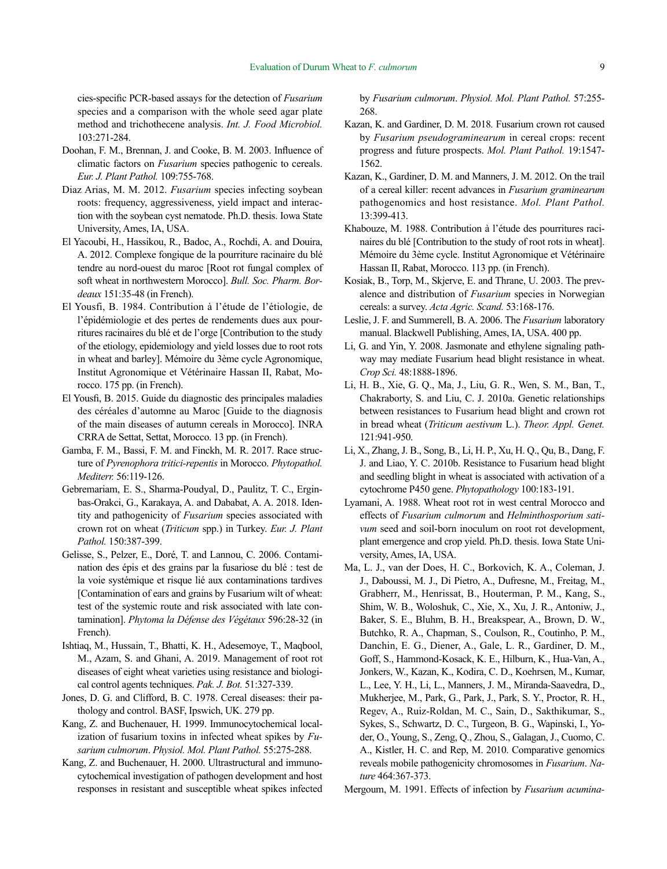cies-specific PCR-based assays for the detection of *Fusarium* species and a comparison with the whole seed agar plate method and trichothecene analysis. *Int. J. Food Microbiol.*  103:271-284.

- Doohan, F. M., Brennan, J. and Cooke, B. M. 2003. Influence of climatic factors on *Fusarium* species pathogenic to cereals. *Eur. J. Plant Pathol.* 109:755-768.
- Diaz Arias, M. M. 2012. *Fusarium* species infecting soybean roots: frequency, aggressiveness, yield impact and interaction with the soybean cyst nematode. Ph.D. thesis. Iowa State University, Ames, IA, USA.
- El Yacoubi, H., Hassikou, R., Badoc, A., Rochdi, A. and Douira, A. 2012. Complexe fongique de la pourriture racinaire du blé tendre au nord-ouest du maroc [Root rot fungal complex of soft wheat in northwestern Morocco]. *Bull. Soc. Pharm. Bordeaux* 151:35-48 (in French).
- El Yousfi, B. 1984. Contribution à l'étude de l'étiologie, de l'épidémiologie et des pertes de rendements dues aux pourritures racinaires du blé et de l'orge [Contribution to the study of the etiology, epidemiology and yield losses due to root rots in wheat and barley]. Mémoire du 3ème cycle Agronomique, Institut Agronomique et Vétérinaire Hassan II, Rabat, Morocco. 175 pp. (in French).
- El Yousfi, B. 2015. Guide du diagnostic des principales maladies des céréales d'automne au Maroc [Guide to the diagnosis of the main diseases of autumn cereals in Morocco]. INRA CRRA de Settat, Settat, Morocco. 13 pp. (in French).
- Gamba, F. M., Bassi, F. M. and Finckh, M. R. 2017. Race structure of *Pyrenophora tritici-repentis* in Morocco. *Phytopathol. Mediterr.* 56:119-126.
- Gebremariam, E. S., Sharma-Poudyal, D., Paulitz, T. C., Erginbas-Orakci, G., Karakaya, A. and Dababat, A. A. 2018. Identity and pathogenicity of *Fusarium* species associated with crown rot on wheat (*Triticum* spp.) in Turkey. *Eur. J. Plant Pathol.* 150:387-399.
- Gelisse, S., Pelzer, E., Doré, T. and Lannou, C. 2006. Contamination des épis et des grains par la fusariose du blé : test de la voie systémique et risque lié aux contaminations tardives [Contamination of ears and grains by Fusarium wilt of wheat: test of the systemic route and risk associated with late contamination]. *Phytoma la Défense des Végétaux* 596:28-32 (in French).
- Ishtiaq, M., Hussain, T., Bhatti, K. H., Adesemoye, T., Maqbool, M., Azam, S. and Ghani, A. 2019. Management of root rot diseases of eight wheat varieties using resistance and biological control agents techniques. *Pak. J. Bot.* 51:327-339.
- Jones, D. G. and Clifford, B. C. 1978. Cereal diseases: their pathology and control. BASF, Ipswich, UK. 279 pp.
- Kang, Z. and Buchenauer, H. 1999. Immunocytochemical localization of fusarium toxins in infected wheat spikes by *Fusarium culmorum*. *Physiol. Mol. Plant Pathol.* 55:275-288.
- Kang, Z. and Buchenauer, H. 2000. Ultrastructural and immunocytochemical investigation of pathogen development and host responses in resistant and susceptible wheat spikes infected

by *Fusarium culmorum*. *Physiol. Mol. Plant Pathol.* 57:255- 268.

- Kazan, K. and Gardiner, D. M. 2018*.* Fusarium crown rot caused by *Fusarium pseudograminearum* in cereal crops: recent progress and future prospects. *Mol. Plant Pathol.* 19:1547- 1562.
- Kazan, K., Gardiner, D. M. and Manners, J. M. 2012. On the trail of a cereal killer: recent advances in *Fusarium graminearum* pathogenomics and host resistance. *Mol. Plant Pathol.*  13:399-413.
- Khabouze, M. 1988. Contribution à l'étude des pourritures racinaires du blé [Contribution to the study of root rots in wheat]. Mémoire du 3ème cycle. Institut Agronomique et Vétérinaire Hassan II, Rabat, Morocco. 113 pp. (in French).
- Kosiak, B., Torp, M., Skjerve, E. and Thrane, U. 2003. The prevalence and distribution of *Fusarium* species in Norwegian cereals: a survey. *Acta Agric. Scand.* 53:168-176.
- Leslie, J. F. and Summerell, B. A. 2006. The *Fusarium* laboratory manual. Blackwell Publishing, Ames, IA, USA. 400 pp.
- Li, G. and Yin, Y. 2008. Jasmonate and ethylene signaling pathway may mediate Fusarium head blight resistance in wheat. *Crop Sci.* 48:1888-1896.
- Li, H. B., Xie, G. Q., Ma, J., Liu, G. R., Wen, S. M., Ban, T., Chakraborty, S. and Liu, C. J. 2010a. Genetic relationships between resistances to Fusarium head blight and crown rot in bread wheat (*Triticum aestivum* L.). *Theor. Appl. Genet.*  121:941-950.
- Li, X., Zhang, J. B., Song, B., Li, H. P., Xu, H. Q., Qu, B., Dang, F. J. and Liao, Y. C. 2010b. Resistance to Fusarium head blight and seedling blight in wheat is associated with activation of a cytochrome P450 gene. *Phytopathology* 100:183-191.
- Lyamani, A. 1988. Wheat root rot in west central Morocco and effects of *Fusarium culmorum* and *Helminthosporium sativum* seed and soil-born inoculum on root rot development, plant emergence and crop yield. Ph.D. thesis. Iowa State University, Ames, IA, USA.
- Ma, L. J., van der Does, H. C., Borkovich, K. A., Coleman, J. J., Daboussi, M. J., Di Pietro, A., Dufresne, M., Freitag, M., Grabherr, M., Henrissat, B., Houterman, P. M., Kang, S., Shim, W. B., Woloshuk, C., Xie, X., Xu, J. R., Antoniw, J., Baker, S. E., Bluhm, B. H., Breakspear, A., Brown, D. W., Butchko, R. A., Chapman, S., Coulson, R., Coutinho, P. M., Danchin, E. G., Diener, A., Gale, L. R., Gardiner, D. M., Goff, S., Hammond-Kosack, K. E., Hilburn, K., Hua-Van, A., Jonkers, W., Kazan, K., Kodira, C. D., Koehrsen, M., Kumar, L., Lee, Y. H., Li, L., Manners, J. M., Miranda-Saavedra, D., Mukherjee, M., Park, G., Park, J., Park, S. Y., Proctor, R. H., Regev, A., Ruiz-Roldan, M. C., Sain, D., Sakthikumar, S., Sykes, S., Schwartz, D. C., Turgeon, B. G., Wapinski, I., Yoder, O., Young, S., Zeng, Q., Zhou, S., Galagan, J., Cuomo, C. A., Kistler, H. C. and Rep, M. 2010. Comparative genomics reveals mobile pathogenicity chromosomes in *Fusarium*. *Nature* 464:367-373.
- Mergoum, M. 1991. Effects of infection by *Fusarium acumina-*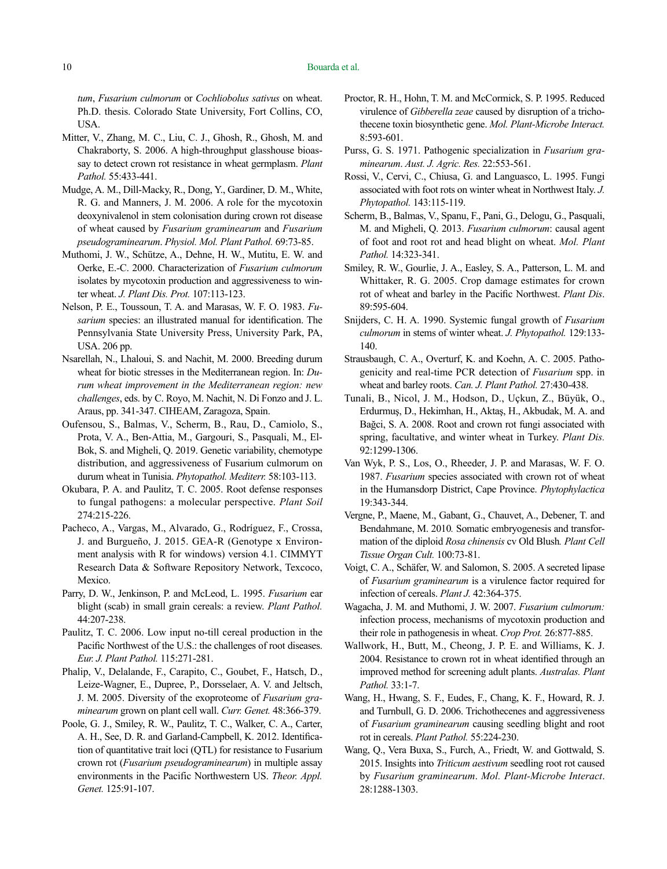*tum*, *Fusarium culmorum* or *Cochliobolus sativus* on wheat. Ph.D. thesis. Colorado State University, Fort Collins, CO, USA.

- Mitter, V., Zhang, M. C., Liu, C. J., Ghosh, R., Ghosh, M. and Chakraborty, S. 2006. A high-throughput glasshouse bioassay to detect crown rot resistance in wheat germplasm. *Plant Pathol.* 55:433-441.
- Mudge, A. M., Dill-Macky, R., Dong, Y., Gardiner, D. M., White, R. G. and Manners, J. M. 2006. A role for the mycotoxin deoxynivalenol in stem colonisation during crown rot disease of wheat caused by *Fusarium graminearum* and *Fusarium pseudograminearum*. *Physiol. Mol. Plant Pathol.* 69:73-85.
- Muthomi, J. W., Schütze, A., Dehne, H. W., Mutitu, E. W. and Oerke, E.-C. 2000. Characterization of *Fusarium culmorum* isolates by mycotoxin production and aggressiveness to winter wheat. *J. Plant Dis. Prot.* 107:113-123.
- Nelson, P. E., Toussoun, T. A. and Marasas, W. F. O. 1983. *Fusarium* species: an illustrated manual for identification. The Pennsylvania State University Press, University Park, PA, USA. 206 pp.
- Nsarellah, N., Lhaloui, S. and Nachit, M. 2000. Breeding durum wheat for biotic stresses in the Mediterranean region. In: *Durum wheat improvement in the Mediterranean region: new challenges*, eds. by C. Royo, M. Nachit, N. Di Fonzo and J. L. Araus, pp. 341-347. CIHEAM, Zaragoza, Spain.
- Oufensou, S., Balmas, V., Scherm, B., Rau, D., Camiolo, S., Prota, V. A., Ben-Attia, M., Gargouri, S., Pasquali, M., El-Bok, S. and Migheli, Q. 2019. Genetic variability, chemotype distribution, and aggressiveness of Fusarium culmorum on durum wheat in Tunisia. *Phytopathol. Mediterr.* 58:103-113.
- Okubara, P. A. and Paulitz, T. C. 2005. Root defense responses to fungal pathogens: a molecular perspective. *Plant Soil* 274:215-226.
- Pacheco, A., Vargas, M., Alvarado, G., Rodríguez, F., Crossa, J. and Burgueño, J. 2015. GEA-R (Genotype x Environment analysis with R for windows) version 4.1. CIMMYT Research Data & Software Repository Network, Texcoco, Mexico.
- Parry, D. W., Jenkinson, P. and McLeod, L. 1995. *Fusarium* ear blight (scab) in small grain cereals: a review. *Plant Pathol.* 44:207-238.
- Paulitz, T. C. 2006. Low input no-till cereal production in the Pacific Northwest of the U.S.: the challenges of root diseases. *Eur. J. Plant Pathol.* 115:271-281.
- Phalip, V., Delalande, F., Carapito, C., Goubet, F., Hatsch, D., Leize-Wagner, E., Dupree, P., Dorsselaer, A. V. and Jeltsch, J. M. 2005. Diversity of the exoproteome of *Fusarium graminearum* grown on plant cell wall. *Curr. Genet.* 48:366-379.
- Poole, G. J., Smiley, R. W., Paulitz, T. C., Walker, C. A., Carter, A. H., See, D. R. and Garland-Campbell, K. 2012. Identification of quantitative trait loci (QTL) for resistance to Fusarium crown rot (*Fusarium pseudograminearum*) in multiple assay environments in the Pacific Northwestern US. *Theor. Appl. Genet.* 125:91-107.
- Proctor, R. H., Hohn, T. M. and McCormick, S. P. 1995. Reduced virulence of *Gibberella zeae* caused by disruption of a trichothecene toxin biosynthetic gene. *Mol. Plant-Microbe Interact.*  8:593-601.
- Purss, G. S. 1971. Pathogenic specialization in *Fusarium graminearum*. *Aust. J. Agric. Res.* 22:553-561.
- Rossi, V., Cervi, C., Chiusa, G. and Languasco, L. 1995. Fungi associated with foot rots on winter wheat in Northwest Italy. *J. Phytopathol.* 143:115-119.
- Scherm, B., Balmas, V., Spanu, F., Pani, G., Delogu, G., Pasquali, M. and Migheli, Q. 2013. *Fusarium culmorum*: causal agent of foot and root rot and head blight on wheat. *Mol. Plant Pathol.* 14:323-341.
- Smiley, R. W., Gourlie, J. A., Easley, S. A., Patterson, L. M. and Whittaker, R. G. 2005. Crop damage estimates for crown rot of wheat and barley in the Pacific Northwest. *Plant Dis*. 89:595-604.
- Snijders, C. H. A. 1990. Systemic fungal growth of *Fusarium culmorum* in stems of winter wheat. *J. Phytopathol.* 129:133- 140.
- Strausbaugh, C. A., Overturf, K. and Koehn, A. C. 2005. Pathogenicity and real-time PCR detection of *Fusarium* spp. in wheat and barley roots. *Can. J. Plant Pathol.* 27:430-438.
- Tunali, B., Nicol, J. M., Hodson, D., Uçkun, Z., Büyük, O., Erdurmuş, D., Hekimhan, H., Aktaş, H., Akbudak, M. A. and Bağci, S. A. 2008. Root and crown rot fungi associated with spring, facultative, and winter wheat in Turkey. *Plant Dis.* 92:1299-1306.
- Van Wyk, P. S., Los, O., Rheeder, J. P. and Marasas, W. F. O. 1987. *Fusarium* species associated with crown rot of wheat in the Humansdorp District, Cape Province. *Phytophylactica* 19:343-344.
- Vergne, P., Maene, M., Gabant, G., Chauvet, A., Debener, T. and Bendahmane, M. 2010*.* Somatic embryogenesis and transformation of the diploid *Rosa chinensis* cv Old Blush*. Plant Cell Tissue Organ Cult.* 100:73-81.
- Voigt, C. A., Schäfer, W. and Salomon, S. 2005. A secreted lipase of *Fusarium graminearum* is a virulence factor required for infection of cereals. *Plant J.* 42:364-375.
- Wagacha, J. M. and Muthomi, J. W. 2007. *Fusarium culmorum:*  infection process, mechanisms of mycotoxin production and their role in pathogenesis in wheat. *Crop Prot.* 26:877-885.
- Wallwork, H., Butt, M., Cheong, J. P. E. and Williams, K. J. 2004. Resistance to crown rot in wheat identified through an improved method for screening adult plants. *Australas. Plant Pathol.* 33:1-7.
- Wang, H., Hwang, S. F., Eudes, F., Chang, K. F., Howard, R. J. and Turnbull, G. D. 2006. Trichothecenes and aggressiveness of *Fusarium graminearum* causing seedling blight and root rot in cereals. *Plant Pathol.* 55:224-230.
- Wang, Q., Vera Buxa, S., Furch, A., Friedt, W. and Gottwald, S. 2015. Insights into *Triticum aestivum* seedling root rot caused by *Fusarium graminearum*. *Mol. Plant-Microbe Interact*. 28:1288-1303.